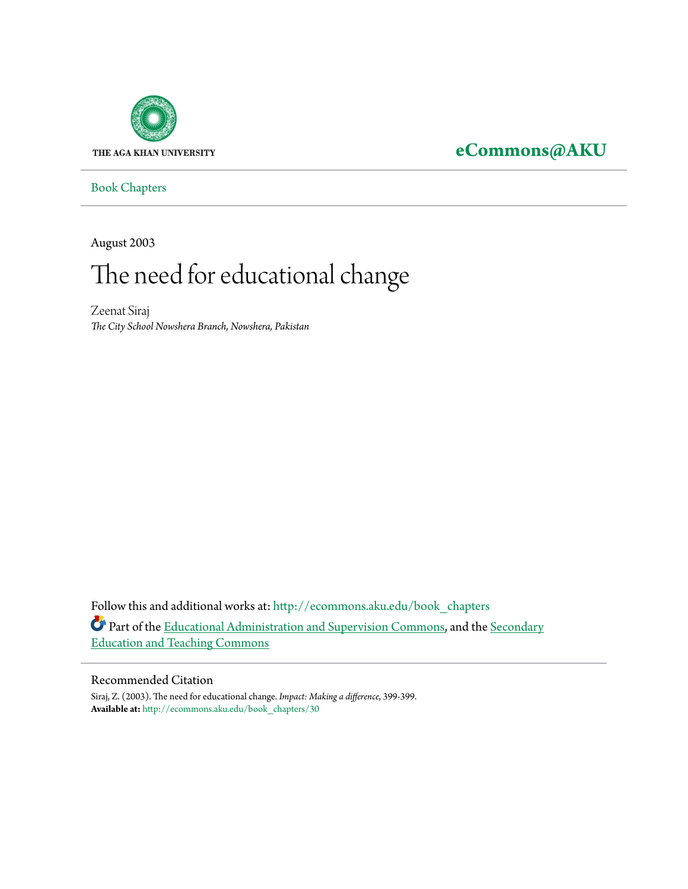

## **[eCommons@AKU](http://ecommons.aku.edu?utm_source=ecommons.aku.edu%2Fbook_chapters%2F30&utm_medium=PDF&utm_campaign=PDFCoverPages)**

[Book Chapters](http://ecommons.aku.edu/book_chapters?utm_source=ecommons.aku.edu%2Fbook_chapters%2F30&utm_medium=PDF&utm_campaign=PDFCoverPages)

August 2003

# The need for educational change

Zeenat Siraj *The City School Nowshera Branch, Nowshera, Pakistan*

Follow this and additional works at: [http://ecommons.aku.edu/book\\_chapters](http://ecommons.aku.edu/book_chapters?utm_source=ecommons.aku.edu%2Fbook_chapters%2F30&utm_medium=PDF&utm_campaign=PDFCoverPages) Part of the [Educational Administration and Supervision Commons,](http://network.bepress.com/hgg/discipline/787?utm_source=ecommons.aku.edu%2Fbook_chapters%2F30&utm_medium=PDF&utm_campaign=PDFCoverPages) and the [Secondary](http://network.bepress.com/hgg/discipline/809?utm_source=ecommons.aku.edu%2Fbook_chapters%2F30&utm_medium=PDF&utm_campaign=PDFCoverPages) [Education and Teaching Commons](http://network.bepress.com/hgg/discipline/809?utm_source=ecommons.aku.edu%2Fbook_chapters%2F30&utm_medium=PDF&utm_campaign=PDFCoverPages)

#### Recommended Citation

Siraj, Z. (2003). The need for educational change. *Impact: Making a difference*, 399-399. **Available at:** [http://ecommons.aku.edu/book\\_chapters/30](http://ecommons.aku.edu/book_chapters/30)